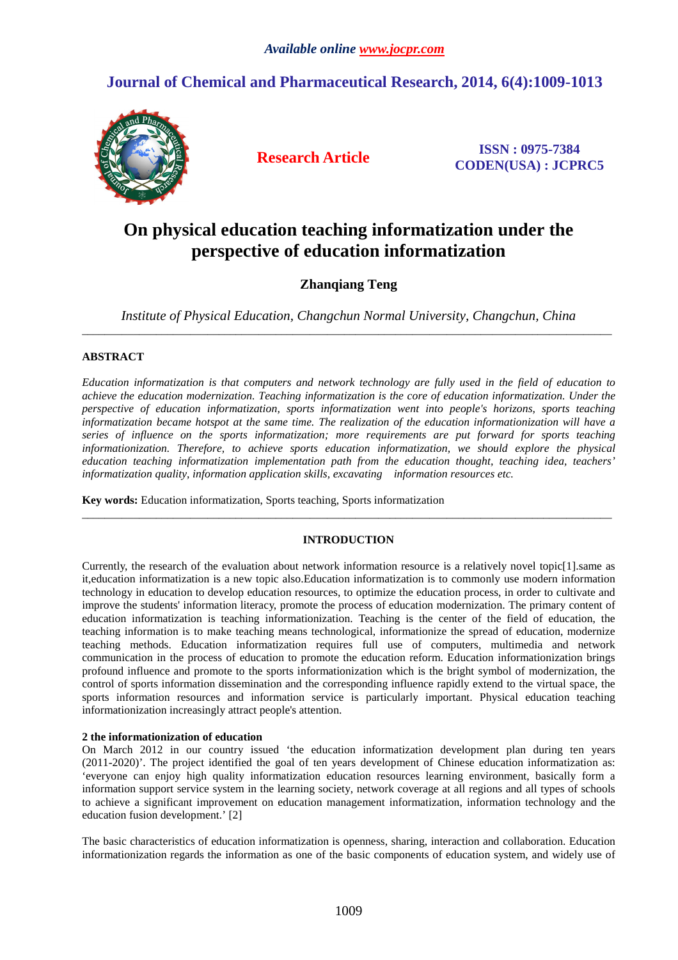# **Journal of Chemical and Pharmaceutical Research, 2014, 6(4):1009-1013**



**Research Article ISSN : 0975-7384 CODEN(USA) : JCPRC5**

# **On physical education teaching informatization under the perspective of education informatization**

# **Zhanqiang Teng**

*Institute of Physical Education, Changchun Normal University, Changchun, China*  \_\_\_\_\_\_\_\_\_\_\_\_\_\_\_\_\_\_\_\_\_\_\_\_\_\_\_\_\_\_\_\_\_\_\_\_\_\_\_\_\_\_\_\_\_\_\_\_\_\_\_\_\_\_\_\_\_\_\_\_\_\_\_\_\_\_\_\_\_\_\_\_\_\_\_\_\_\_\_\_\_\_\_\_\_\_\_\_\_\_\_\_\_

# **ABSTRACT**

*Education informatization is that computers and network technology are fully used in the field of education to achieve the education modernization. Teaching informatization is the core of education informatization. Under the perspective of education informatization, sports informatization went into people's horizons, sports teaching informatization became hotspot at the same time. The realization of the education informationization will have a series of influence on the sports informatization; more requirements are put forward for sports teaching informationization. Therefore, to achieve sports education informatization, we should explore the physical education teaching informatization implementation path from the education thought, teaching idea, teachers' informatization quality, information application skills, excavating information resources etc.* 

**Key words:** Education informatization, Sports teaching, Sports informatization

## **INTRODUCTION**

 $\overline{a}$  , and the contribution of the contribution of the contribution of the contribution of the contribution of the contribution of the contribution of the contribution of the contribution of the contribution of the co

Currently, the research of the evaluation about network information resource is a relatively novel topic[1].same as it,education informatization is a new topic also.Education informatization is to commonly use modern information technology in education to develop education resources, to optimize the education process, in order to cultivate and improve the students' information literacy, promote the process of education modernization. The primary content of education informatization is teaching informationization. Teaching is the center of the field of education, the teaching information is to make teaching means technological, informationize the spread of education, modernize teaching methods. Education informatization requires full use of computers, multimedia and network communication in the process of education to promote the education reform. Education informationization brings profound influence and promote to the sports informationization which is the bright symbol of modernization, the control of sports information dissemination and the corresponding influence rapidly extend to the virtual space, the sports information resources and information service is particularly important. Physical education teaching informationization increasingly attract people's attention.

#### **2 the informationization of education**

On March 2012 in our country issued 'the education informatization development plan during ten years (2011-2020)'. The project identified the goal of ten years development of Chinese education informatization as: 'everyone can enjoy high quality informatization education resources learning environment, basically form a information support service system in the learning society, network coverage at all regions and all types of schools to achieve a significant improvement on education management informatization, information technology and the education fusion development.' [2]

The basic characteristics of education informatization is openness, sharing, interaction and collaboration. Education informationization regards the information as one of the basic components of education system, and widely use of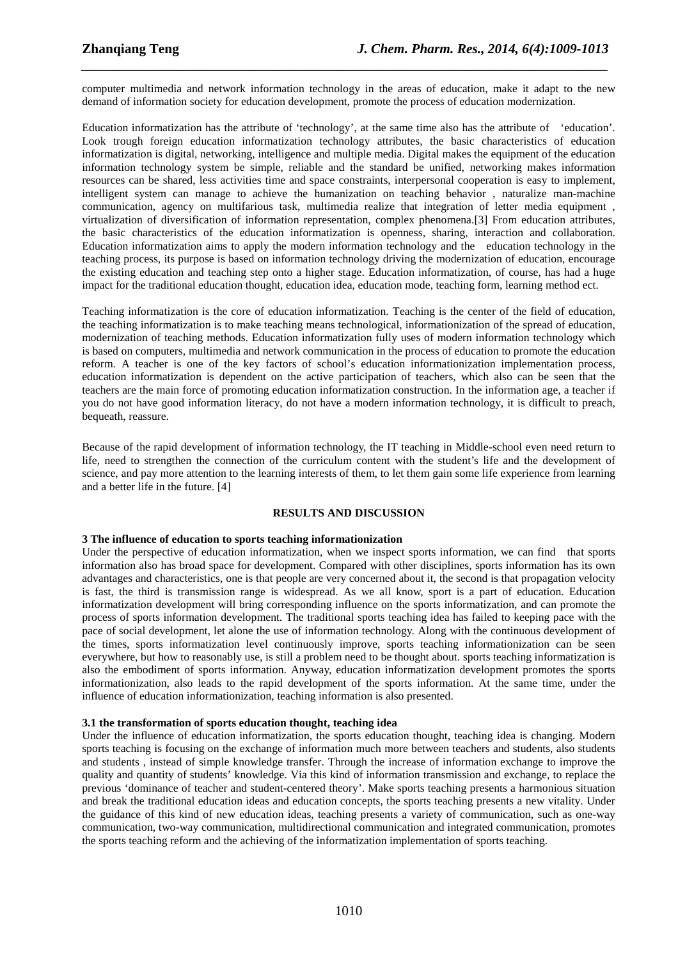computer multimedia and network information technology in the areas of education, make it adapt to the new demand of information society for education development, promote the process of education modernization.

*\_\_\_\_\_\_\_\_\_\_\_\_\_\_\_\_\_\_\_\_\_\_\_\_\_\_\_\_\_\_\_\_\_\_\_\_\_\_\_\_\_\_\_\_\_\_\_\_\_\_\_\_\_\_\_\_\_\_\_\_\_\_\_\_\_\_\_\_\_\_\_\_\_\_\_\_\_*

Education informatization has the attribute of 'technology', at the same time also has the attribute of 'education'. Look trough foreign education informatization technology attributes, the basic characteristics of education informatization is digital, networking, intelligence and multiple media. Digital makes the equipment of the education information technology system be simple, reliable and the standard be unified, networking makes information resources can be shared, less activities time and space constraints, interpersonal cooperation is easy to implement, intelligent system can manage to achieve the humanization on teaching behavior , naturalize man-machine communication, agency on multifarious task, multimedia realize that integration of letter media equipment , virtualization of diversification of information representation, complex phenomena.[3] From education attributes, the basic characteristics of the education informatization is openness, sharing, interaction and collaboration. Education informatization aims to apply the modern information technology and the education technology in the teaching process, its purpose is based on information technology driving the modernization of education, encourage the existing education and teaching step onto a higher stage. Education informatization, of course, has had a huge impact for the traditional education thought, education idea, education mode, teaching form, learning method ect.

Teaching informatization is the core of education informatization. Teaching is the center of the field of education, the teaching informatization is to make teaching means technological, informationization of the spread of education, modernization of teaching methods. Education informatization fully uses of modern information technology which is based on computers, multimedia and network communication in the process of education to promote the education reform. A teacher is one of the key factors of school's education informationization implementation process, education informatization is dependent on the active participation of teachers, which also can be seen that the teachers are the main force of promoting education informatization construction. In the information age, a teacher if you do not have good information literacy, do not have a modern information technology, it is difficult to preach, bequeath, reassure.

Because of the rapid development of information technology, the IT teaching in Middle-school even need return to life, need to strengthen the connection of the curriculum content with the student's life and the development of science, and pay more attention to the learning interests of them, to let them gain some life experience from learning and a better life in the future. [4]

#### **RESULTS AND DISCUSSION**

#### **3 The influence of education to sports teaching informationization**

Under the perspective of education informatization, when we inspect sports information, we can find that sports information also has broad space for development. Compared with other disciplines, sports information has its own advantages and characteristics, one is that people are very concerned about it, the second is that propagation velocity is fast, the third is transmission range is widespread. As we all know, sport is a part of education. Education informatization development will bring corresponding influence on the sports informatization, and can promote the process of sports information development. The traditional sports teaching idea has failed to keeping pace with the pace of social development, let alone the use of information technology. Along with the continuous development of the times, sports informatization level continuously improve, sports teaching informationization can be seen everywhere, but how to reasonably use, is still a problem need to be thought about. sports teaching informatization is also the embodiment of sports information. Anyway, education informatization development promotes the sports informationization, also leads to the rapid development of the sports information. At the same time, under the influence of education informationization, teaching information is also presented.

#### **3.1 the transformation of sports education thought, teaching idea**

Under the influence of education informatization, the sports education thought, teaching idea is changing. Modern sports teaching is focusing on the exchange of information much more between teachers and students, also students and students , instead of simple knowledge transfer. Through the increase of information exchange to improve the quality and quantity of students' knowledge. Via this kind of information transmission and exchange, to replace the previous 'dominance of teacher and student-centered theory'. Make sports teaching presents a harmonious situation and break the traditional education ideas and education concepts, the sports teaching presents a new vitality. Under the guidance of this kind of new education ideas, teaching presents a variety of communication, such as one-way communication, two-way communication, multidirectional communication and integrated communication, promotes the sports teaching reform and the achieving of the informatization implementation of sports teaching.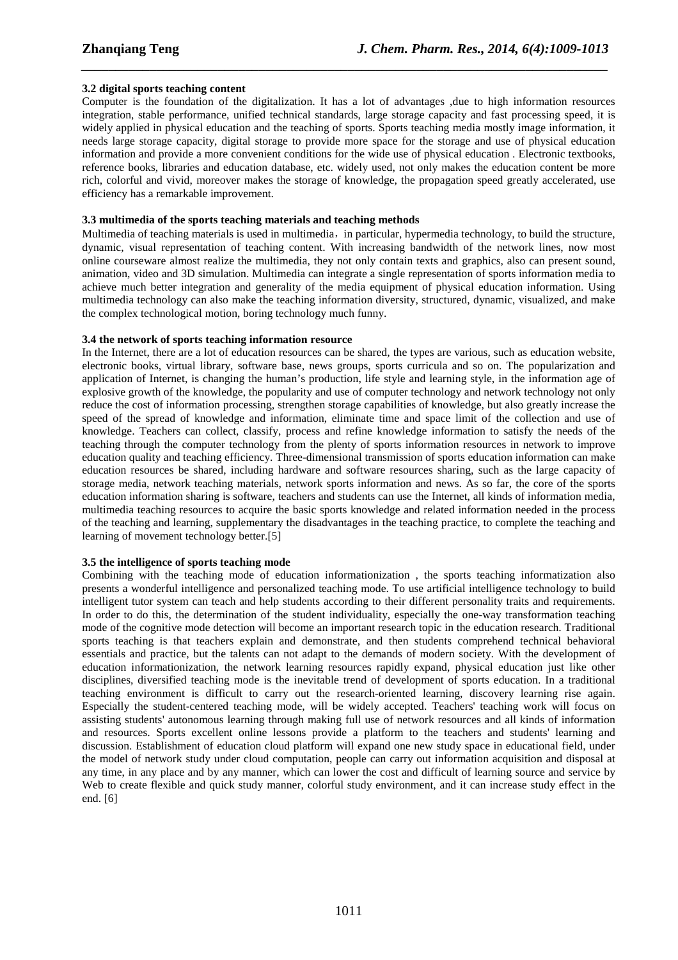#### **3.2 digital sports teaching content**

Computer is the foundation of the digitalization. It has a lot of advantages ,due to high information resources integration, stable performance, unified technical standards, large storage capacity and fast processing speed, it is widely applied in physical education and the teaching of sports. Sports teaching media mostly image information, it needs large storage capacity, digital storage to provide more space for the storage and use of physical education information and provide a more convenient conditions for the wide use of physical education . Electronic textbooks, reference books, libraries and education database, etc. widely used, not only makes the education content be more rich, colorful and vivid, moreover makes the storage of knowledge, the propagation speed greatly accelerated, use efficiency has a remarkable improvement.

*\_\_\_\_\_\_\_\_\_\_\_\_\_\_\_\_\_\_\_\_\_\_\_\_\_\_\_\_\_\_\_\_\_\_\_\_\_\_\_\_\_\_\_\_\_\_\_\_\_\_\_\_\_\_\_\_\_\_\_\_\_\_\_\_\_\_\_\_\_\_\_\_\_\_\_\_\_*

#### **3.3 multimedia of the sports teaching materials and teaching methods**

Multimedia of teaching materials is used in multimedia, in particular, hypermedia technology, to build the structure, dynamic, visual representation of teaching content. With increasing bandwidth of the network lines, now most online courseware almost realize the multimedia, they not only contain texts and graphics, also can present sound, animation, video and 3D simulation. Multimedia can integrate a single representation of sports information media to achieve much better integration and generality of the media equipment of physical education information. Using multimedia technology can also make the teaching information diversity, structured, dynamic, visualized, and make the complex technological motion, boring technology much funny.

### **3.4 the network of sports teaching information resource**

In the Internet, there are a lot of education resources can be shared, the types are various, such as education website, electronic books, virtual library, software base, news groups, sports curricula and so on. The popularization and application of Internet, is changing the human's production, life style and learning style, in the information age of explosive growth of the knowledge, the popularity and use of computer technology and network technology not only reduce the cost of information processing, strengthen storage capabilities of knowledge, but also greatly increase the speed of the spread of knowledge and information, eliminate time and space limit of the collection and use of knowledge. Teachers can collect, classify, process and refine knowledge information to satisfy the needs of the teaching through the computer technology from the plenty of sports information resources in network to improve education quality and teaching efficiency. Three-dimensional transmission of sports education information can make education resources be shared, including hardware and software resources sharing, such as the large capacity of storage media, network teaching materials, network sports information and news. As so far, the core of the sports education information sharing is software, teachers and students can use the Internet, all kinds of information media, multimedia teaching resources to acquire the basic sports knowledge and related information needed in the process of the teaching and learning, supplementary the disadvantages in the teaching practice, to complete the teaching and learning of movement technology better.[5]

## **3.5 the intelligence of sports teaching mode**

Combining with the teaching mode of education informationization , the sports teaching informatization also presents a wonderful intelligence and personalized teaching mode. To use artificial intelligence technology to build intelligent tutor system can teach and help students according to their different personality traits and requirements. In order to do this, the determination of the student individuality, especially the one-way transformation teaching mode of the cognitive mode detection will become an important research topic in the education research. Traditional sports teaching is that teachers explain and demonstrate, and then students comprehend technical behavioral essentials and practice, but the talents can not adapt to the demands of modern society. With the development of education informationization, the network learning resources rapidly expand, physical education just like other disciplines, diversified teaching mode is the inevitable trend of development of sports education. In a traditional teaching environment is difficult to carry out the research-oriented learning, discovery learning rise again. Especially the student-centered teaching mode, will be widely accepted. Teachers' teaching work will focus on assisting students' autonomous learning through making full use of network resources and all kinds of information and resources. Sports excellent online lessons provide a platform to the teachers and students' learning and discussion. Establishment of education cloud platform will expand one new study space in educational field, under the model of network study under cloud computation, people can carry out information acquisition and disposal at any time, in any place and by any manner, which can lower the cost and difficult of learning source and service by Web to create flexible and quick study manner, colorful study environment, and it can increase study effect in the end. [6]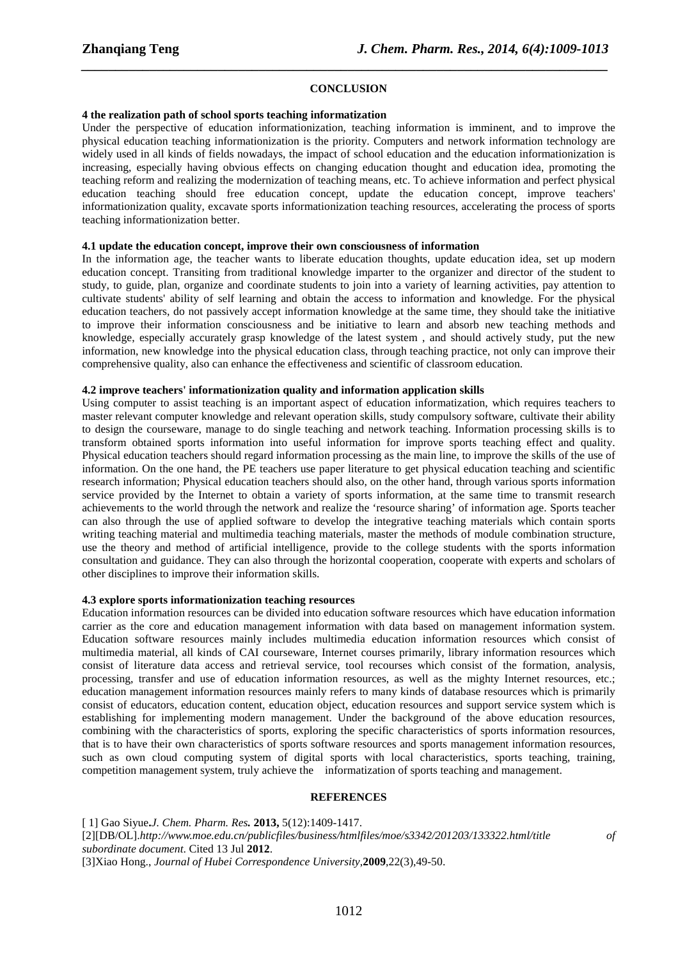#### **CONCLUSION**

*\_\_\_\_\_\_\_\_\_\_\_\_\_\_\_\_\_\_\_\_\_\_\_\_\_\_\_\_\_\_\_\_\_\_\_\_\_\_\_\_\_\_\_\_\_\_\_\_\_\_\_\_\_\_\_\_\_\_\_\_\_\_\_\_\_\_\_\_\_\_\_\_\_\_\_\_\_*

#### **4 the realization path of school sports teaching informatization**

Under the perspective of education informationization, teaching information is imminent, and to improve the physical education teaching informationization is the priority. Computers and network information technology are widely used in all kinds of fields nowadays, the impact of school education and the education informationization is increasing, especially having obvious effects on changing education thought and education idea, promoting the teaching reform and realizing the modernization of teaching means, etc. To achieve information and perfect physical education teaching should free education concept, update the education concept, improve teachers' informationization quality, excavate sports informationization teaching resources, accelerating the process of sports teaching informationization better.

#### **4.1 update the education concept, improve their own consciousness of information**

In the information age, the teacher wants to liberate education thoughts, update education idea, set up modern education concept. Transiting from traditional knowledge imparter to the organizer and director of the student to study, to guide, plan, organize and coordinate students to join into a variety of learning activities, pay attention to cultivate students' ability of self learning and obtain the access to information and knowledge. For the physical education teachers, do not passively accept information knowledge at the same time, they should take the initiative to improve their information consciousness and be initiative to learn and absorb new teaching methods and knowledge, especially accurately grasp knowledge of the latest system , and should actively study, put the new information, new knowledge into the physical education class, through teaching practice, not only can improve their comprehensive quality, also can enhance the effectiveness and scientific of classroom education.

#### **4.2 improve teachers' informationization quality and information application skills**

Using computer to assist teaching is an important aspect of education informatization, which requires teachers to master relevant computer knowledge and relevant operation skills, study compulsory software, cultivate their ability to design the courseware, manage to do single teaching and network teaching. Information processing skills is to transform obtained sports information into useful information for improve sports teaching effect and quality. Physical education teachers should regard information processing as the main line, to improve the skills of the use of information. On the one hand, the PE teachers use paper literature to get physical education teaching and scientific research information; Physical education teachers should also, on the other hand, through various sports information service provided by the Internet to obtain a variety of sports information, at the same time to transmit research achievements to the world through the network and realize the 'resource sharing' of information age. Sports teacher can also through the use of applied software to develop the integrative teaching materials which contain sports writing teaching material and multimedia teaching materials, master the methods of module combination structure, use the theory and method of artificial intelligence, provide to the college students with the sports information consultation and guidance. They can also through the horizontal cooperation, cooperate with experts and scholars of other disciplines to improve their information skills.

#### **4.3 explore sports informationization teaching resources**

Education information resources can be divided into education software resources which have education information carrier as the core and education management information with data based on management information system. Education software resources mainly includes multimedia education information resources which consist of multimedia material, all kinds of CAI courseware, Internet courses primarily, library information resources which consist of literature data access and retrieval service, tool recourses which consist of the formation, analysis, processing, transfer and use of education information resources, as well as the mighty Internet resources, etc.; education management information resources mainly refers to many kinds of database resources which is primarily consist of educators, education content, education object, education resources and support service system which is establishing for implementing modern management. Under the background of the above education resources, combining with the characteristics of sports, exploring the specific characteristics of sports information resources, that is to have their own characteristics of sports software resources and sports management information resources, such as own cloud computing system of digital sports with local characteristics, sports teaching, training, competition management system, truly achieve the informatization of sports teaching and management.

#### **REFERENCES**

[ 1] Gao Siyue**.***J. Chem. Pharm. Res.* **2013,** 5(12):1409-1417. [2][DB/OL].*http://www.moe.edu.cn/publicfiles/business/htmlfiles/moe/s3342/201203/133322.html/title of subordinate document*. Cited 13 Jul **2012**. [3]Xiao Hong., *Journal of Hubei Correspondence University*,**2009**,22(3),49-50.